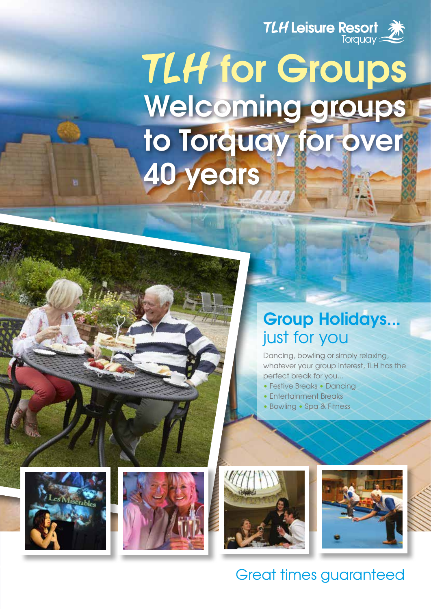

# **Welcoming groups to Torquay for over 40 years** *TLH* for Groups

### **Group Holidays...** just for you

Dancing, bowling or simply relaxing, whatever your group interest, TLH has the perfect break for you...

- Festive Breaks Dancing
- Entertainment Breaks
- Bowling Spa & Fitness









### Great times guaranteed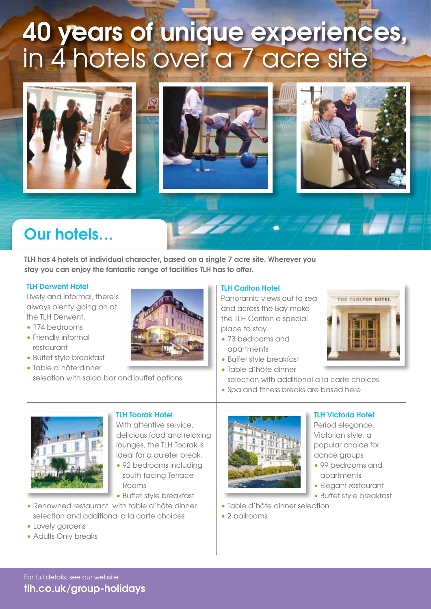# **40 years of unique experiences,**  in 4 hotels over a 7 acre site



### **Our hotels…**

**TLH has 4 hotels of individual character, based on a single 7 acre site. Wherever you stay you can enjoy the fantastic range of facilities TLH has to offer.**

#### **TLH Derwent Hotel**

Lively and informal, there's always plenty going on at the TLH Derwent.

- 174 bedrooms
- Friendly informal restaurant
- Buffet style breakfast
- Table d'hôte dinner selection with salad bar and buffet options



#### **TLH Carlton Hotel**

Panoramic views out to sea and across the Bay make the TLH Carlton a special place to stay.

- 73 bedrooms and apartments
- Buffet style breakfast
- Table d'hôte dinner
- selection with additional a la carte choices
- Spa and fitness breaks are based here



#### **TLH Toorak Hotel**

With attentive service delicious food and relaxing lounges, the TLH Toorak is ideal for a quieter break.

- 92 bedrooms including south facing Terrace Rooms
- Buffet style breakfast
- Renowned restaurant with table d'hôte dinner selection and additional a la carte choices
- Lovely gardens
- Adults Only breaks

**tlh.co.uk/group-holidays**



#### **TLH Victoria Hotel**

THE CARLTON HOTEL

Period elegance, Victorian style, a popular choice for dance aroups

- 99 bedrooms and apartments
- Elegant restaurant
- Buffet style breakfast
- Table d'hôte dinner selection
- 2 ballrooms

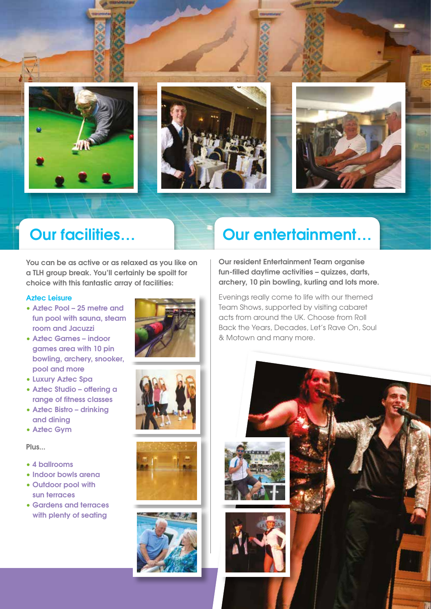

### **Our facilities…**

**You can be as active or as relaxed as you like on a TLH group break. You'll certainly be spoilt for choice with this fantastic array of facilities:**

#### **Aztec Leisure**

- **Aztec Pool 25 metre and fun pool with sauna, steam room and Jacuzzi**
- **Aztec Games indoor games area with 10 pin bowling, archery, snooker, pool and more**
- **Luxury Aztec Spa**
- **Aztec Studio offering a range of fitness classes**
- **Aztec Bistro drinking and dining**
- **Aztec Gym**

**Plus...**

- **4 ballrooms**
- **Indoor bowls arena**
- **Outdoor pool with sun terraces**
- **Gardens and terraces with plenty of seating**









### **Our entertainment…**

**Our resident Entertainment Team organise fun-filled daytime activities – quizzes, darts, archery, 10 pin bowling, kurling and lots more.**

Evenings really come to life with our themed Team Shows, supported by visiting cabaret acts from around the UK. Choose from Roll Back the Years, Decades, Let's Rave On, Soul & Motown and many more.